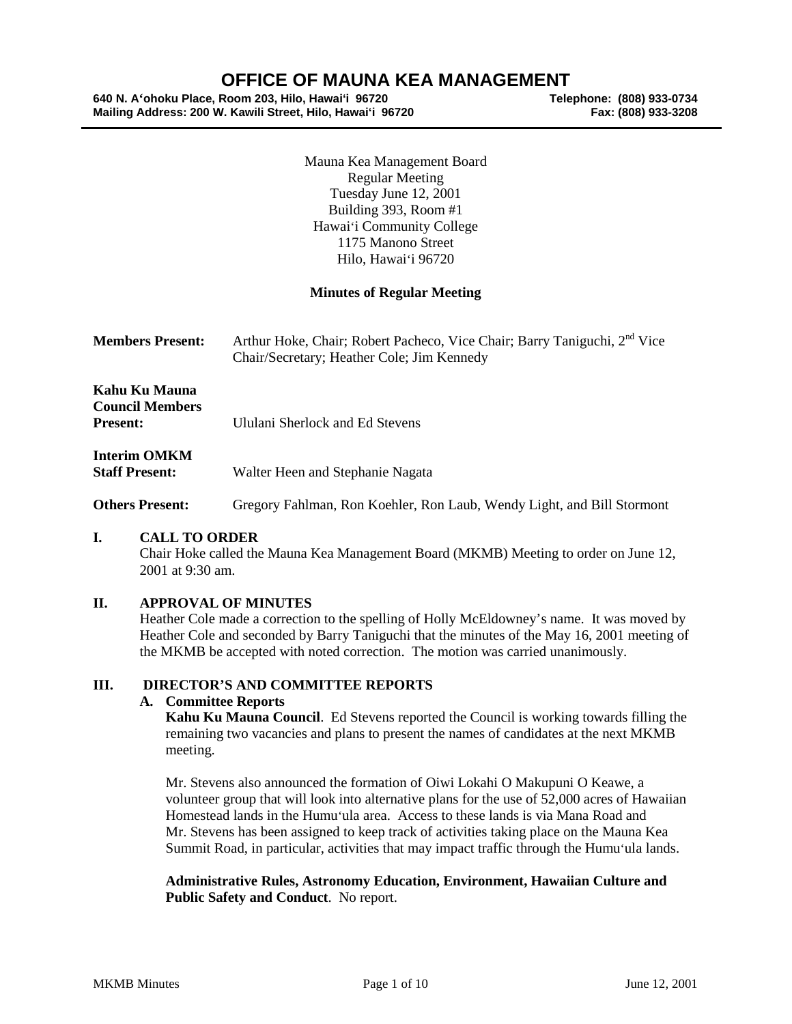# **OFFICE OF MAUNA KEA MANAGEMENT**<br>Room 203, Hilo, Hawai'i 96720<br>Telephone: (808) 933-0734

**640 N. A'ohoku Place, Room 203, Hilo, Hawai'i 96720 Telephone: (808) 933-0734 Mailing Address: 200 W. Kawili Street, Hilo, Hawai'i 96720 Fax: (808) 933-3208**

Mauna Kea Management Board Regular Meeting Tuesday June 12, 2001 Building 393, Room #1 Hawai'i Community College 1175 Manono Street Hilo, Hawai'i 96720

# **Minutes of Regular Meeting**

| <b>Members Present:</b>                                    | Arthur Hoke, Chair; Robert Pacheco, Vice Chair; Barry Taniguchi, 2 <sup>nd</sup> Vice<br>Chair/Secretary; Heather Cole; Jim Kennedy |
|------------------------------------------------------------|-------------------------------------------------------------------------------------------------------------------------------------|
| Kahu Ku Mauna<br><b>Council Members</b><br><b>Present:</b> | Ululani Sherlock and Ed Stevens                                                                                                     |
| <b>Interim OMKM</b><br><b>Staff Present:</b>               | Walter Heen and Stephanie Nagata                                                                                                    |
| <b>Others Present:</b>                                     | Gregory Fahlman, Ron Koehler, Ron Laub, Wendy Light, and Bill Stormont                                                              |

## **I. CALL TO ORDER**

Chair Hoke called the Mauna Kea Management Board (MKMB) Meeting to order on June 12, 2001 at 9:30 am.

# **II. APPROVAL OF MINUTES**

Heather Cole made a correction to the spelling of Holly McEldowney's name. It was moved by Heather Cole and seconded by Barry Taniguchi that the minutes of the May 16, 2001 meeting of the MKMB be accepted with noted correction. The motion was carried unanimously.

#### **III. DIRECTOR'S AND COMMITTEE REPORTS**

#### **A. Committee Reports**

**Kahu Ku Mauna Council**. Ed Stevens reported the Council is working towards filling the remaining two vacancies and plans to present the names of candidates at the next MKMB meeting.

Mr. Stevens also announced the formation of Oiwi Lokahi O Makupuni O Keawe, a volunteer group that will look into alternative plans for the use of 52,000 acres of Hawaiian Homestead lands in the Humu'ula area. Access to these lands is via Mana Road and Mr. Stevens has been assigned to keep track of activities taking place on the Mauna Kea Summit Road, in particular, activities that may impact traffic through the Humu'ula lands.

**Administrative Rules, Astronomy Education, Environment, Hawaiian Culture and Public Safety and Conduct**. No report.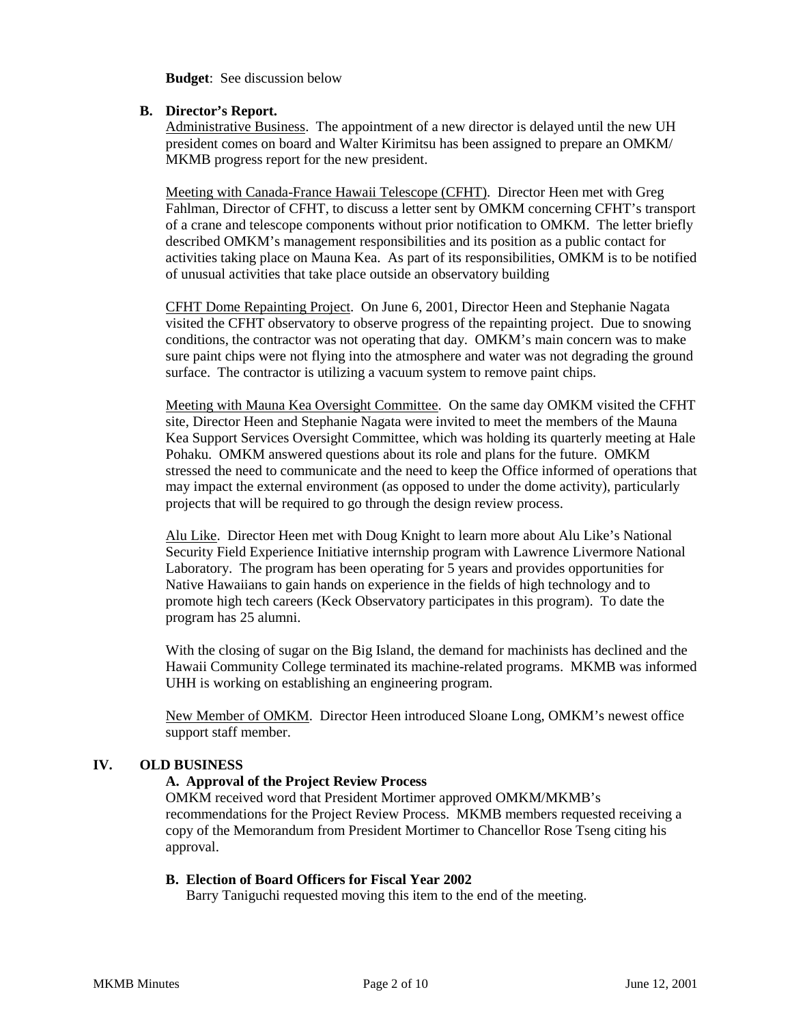**Budget**: See discussion below

## **B. Director's Report.**

Administrative Business. The appointment of a new director is delayed until the new UH president comes on board and Walter Kirimitsu has been assigned to prepare an OMKM/ MKMB progress report for the new president.

Meeting with Canada-France Hawaii Telescope (CFHT). Director Heen met with Greg Fahlman, Director of CFHT, to discuss a letter sent by OMKM concerning CFHT's transport of a crane and telescope components without prior notification to OMKM. The letter briefly described OMKM's management responsibilities and its position as a public contact for activities taking place on Mauna Kea. As part of its responsibilities, OMKM is to be notified of unusual activities that take place outside an observatory building

CFHT Dome Repainting Project. On June 6, 2001, Director Heen and Stephanie Nagata visited the CFHT observatory to observe progress of the repainting project. Due to snowing conditions, the contractor was not operating that day. OMKM's main concern was to make sure paint chips were not flying into the atmosphere and water was not degrading the ground surface. The contractor is utilizing a vacuum system to remove paint chips.

Meeting with Mauna Kea Oversight Committee. On the same day OMKM visited the CFHT site, Director Heen and Stephanie Nagata were invited to meet the members of the Mauna Kea Support Services Oversight Committee, which was holding its quarterly meeting at Hale Pohaku. OMKM answered questions about its role and plans for the future. OMKM stressed the need to communicate and the need to keep the Office informed of operations that may impact the external environment (as opposed to under the dome activity), particularly projects that will be required to go through the design review process.

Alu Like. Director Heen met with Doug Knight to learn more about Alu Like's National Security Field Experience Initiative internship program with Lawrence Livermore National Laboratory. The program has been operating for 5 years and provides opportunities for Native Hawaiians to gain hands on experience in the fields of high technology and to promote high tech careers (Keck Observatory participates in this program). To date the program has 25 alumni.

With the closing of sugar on the Big Island, the demand for machinists has declined and the Hawaii Community College terminated its machine-related programs. MKMB was informed UHH is working on establishing an engineering program.

New Member of OMKM. Director Heen introduced Sloane Long, OMKM's newest office support staff member.

# **IV. OLD BUSINESS**

#### **A. Approval of the Project Review Process**

OMKM received word that President Mortimer approved OMKM/MKMB's recommendations for the Project Review Process. MKMB members requested receiving a copy of the Memorandum from President Mortimer to Chancellor Rose Tseng citing his approval.

#### **B. Election of Board Officers for Fiscal Year 2002**

Barry Taniguchi requested moving this item to the end of the meeting.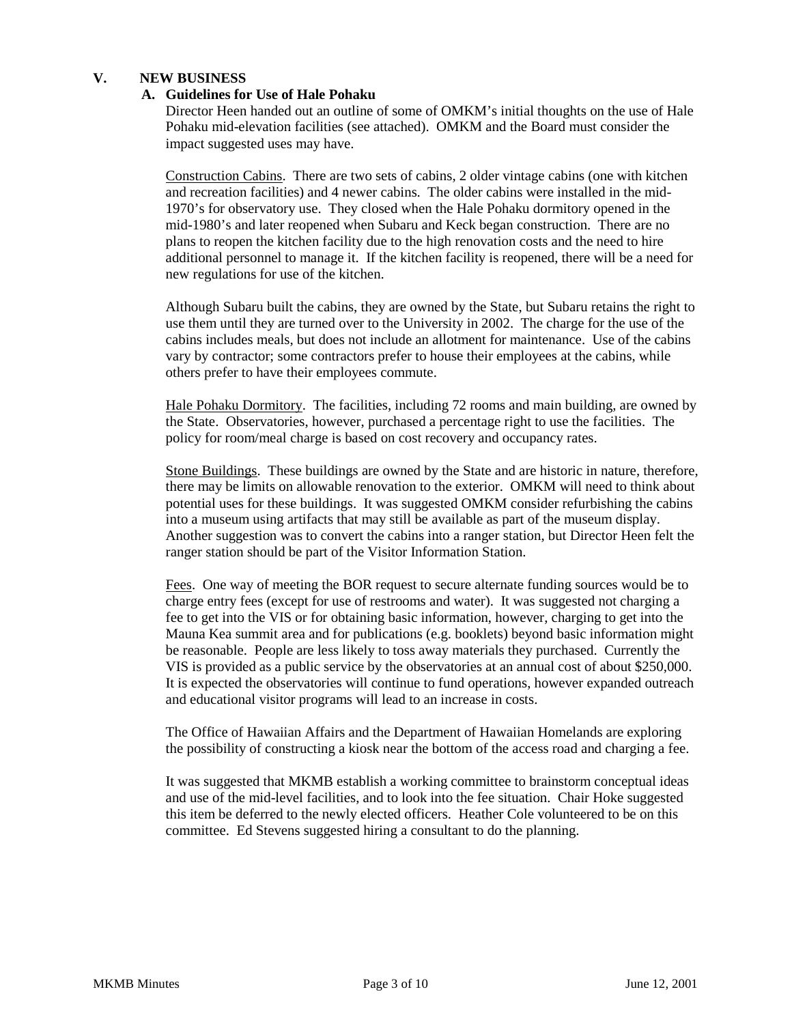# **V. NEW BUSINESS**

# **A. Guidelines for Use of Hale Pohaku**

Director Heen handed out an outline of some of OMKM's initial thoughts on the use of Hale Pohaku mid-elevation facilities (see attached). OMKM and the Board must consider the impact suggested uses may have.

Construction Cabins. There are two sets of cabins, 2 older vintage cabins (one with kitchen and recreation facilities) and 4 newer cabins. The older cabins were installed in the mid-1970's for observatory use. They closed when the Hale Pohaku dormitory opened in the mid-1980's and later reopened when Subaru and Keck began construction. There are no plans to reopen the kitchen facility due to the high renovation costs and the need to hire additional personnel to manage it. If the kitchen facility is reopened, there will be a need for new regulations for use of the kitchen.

Although Subaru built the cabins, they are owned by the State, but Subaru retains the right to use them until they are turned over to the University in 2002. The charge for the use of the cabins includes meals, but does not include an allotment for maintenance. Use of the cabins vary by contractor; some contractors prefer to house their employees at the cabins, while others prefer to have their employees commute.

Hale Pohaku Dormitory. The facilities, including 72 rooms and main building, are owned by the State. Observatories, however, purchased a percentage right to use the facilities. The policy for room/meal charge is based on cost recovery and occupancy rates.

Stone Buildings. These buildings are owned by the State and are historic in nature, therefore, there may be limits on allowable renovation to the exterior. OMKM will need to think about potential uses for these buildings. It was suggested OMKM consider refurbishing the cabins into a museum using artifacts that may still be available as part of the museum display. Another suggestion was to convert the cabins into a ranger station, but Director Heen felt the ranger station should be part of the Visitor Information Station.

Fees. One way of meeting the BOR request to secure alternate funding sources would be to charge entry fees (except for use of restrooms and water). It was suggested not charging a fee to get into the VIS or for obtaining basic information, however, charging to get into the Mauna Kea summit area and for publications (e.g. booklets) beyond basic information might be reasonable. People are less likely to toss away materials they purchased. Currently the VIS is provided as a public service by the observatories at an annual cost of about \$250,000. It is expected the observatories will continue to fund operations, however expanded outreach and educational visitor programs will lead to an increase in costs.

The Office of Hawaiian Affairs and the Department of Hawaiian Homelands are exploring the possibility of constructing a kiosk near the bottom of the access road and charging a fee.

It was suggested that MKMB establish a working committee to brainstorm conceptual ideas and use of the mid-level facilities, and to look into the fee situation. Chair Hoke suggested this item be deferred to the newly elected officers. Heather Cole volunteered to be on this committee. Ed Stevens suggested hiring a consultant to do the planning.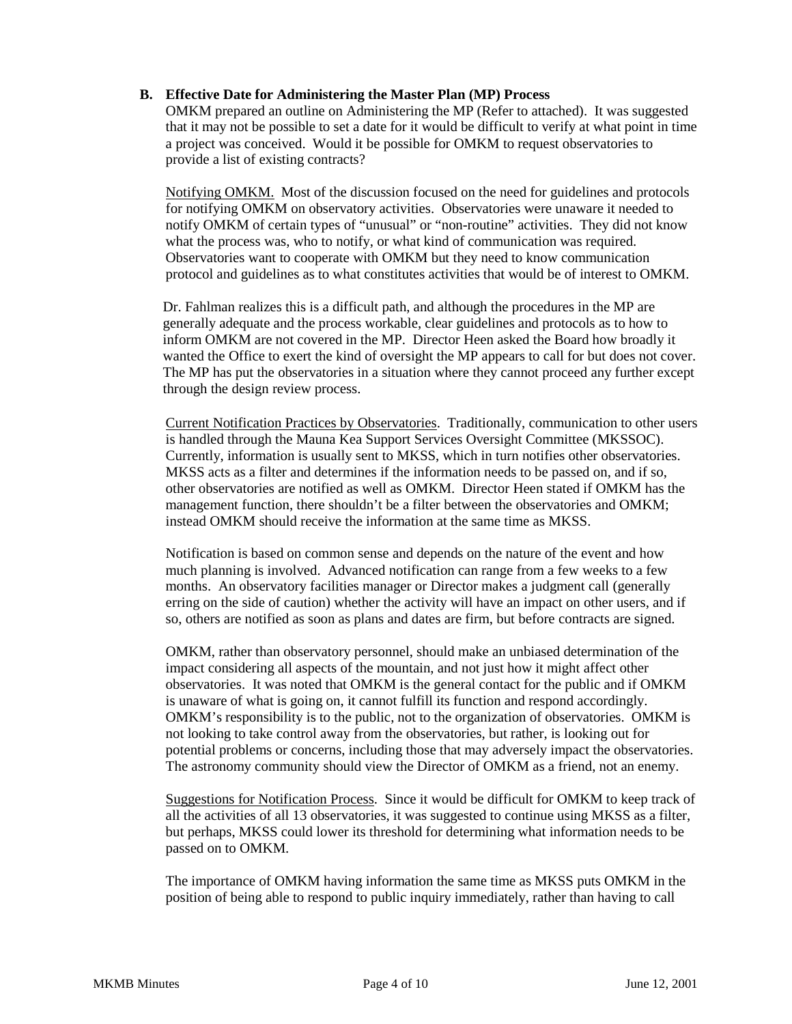## **B. Effective Date for Administering the Master Plan (MP) Process**

OMKM prepared an outline on Administering the MP (Refer to attached). It was suggested that it may not be possible to set a date for it would be difficult to verify at what point in time a project was conceived. Would it be possible for OMKM to request observatories to provide a list of existing contracts?

Notifying OMKM. Most of the discussion focused on the need for guidelines and protocols for notifying OMKM on observatory activities. Observatories were unaware it needed to notify OMKM of certain types of "unusual" or "non-routine" activities. They did not know what the process was, who to notify, or what kind of communication was required. Observatories want to cooperate with OMKM but they need to know communication protocol and guidelines as to what constitutes activities that would be of interest to OMKM.

Dr. Fahlman realizes this is a difficult path, and although the procedures in the MP are generally adequate and the process workable, clear guidelines and protocols as to how to inform OMKM are not covered in the MP. Director Heen asked the Board how broadly it wanted the Office to exert the kind of oversight the MP appears to call for but does not cover. The MP has put the observatories in a situation where they cannot proceed any further except through the design review process.

Current Notification Practices by Observatories. Traditionally, communication to other users is handled through the Mauna Kea Support Services Oversight Committee (MKSSOC). Currently, information is usually sent to MKSS, which in turn notifies other observatories. MKSS acts as a filter and determines if the information needs to be passed on, and if so, other observatories are notified as well as OMKM. Director Heen stated if OMKM has the management function, there shouldn't be a filter between the observatories and OMKM; instead OMKM should receive the information at the same time as MKSS.

Notification is based on common sense and depends on the nature of the event and how much planning is involved. Advanced notification can range from a few weeks to a few months. An observatory facilities manager or Director makes a judgment call (generally erring on the side of caution) whether the activity will have an impact on other users, and if so, others are notified as soon as plans and dates are firm, but before contracts are signed.

OMKM, rather than observatory personnel, should make an unbiased determination of the impact considering all aspects of the mountain, and not just how it might affect other observatories. It was noted that OMKM is the general contact for the public and if OMKM is unaware of what is going on, it cannot fulfill its function and respond accordingly. OMKM's responsibility is to the public, not to the organization of observatories. OMKM is not looking to take control away from the observatories, but rather, is looking out for potential problems or concerns, including those that may adversely impact the observatories. The astronomy community should view the Director of OMKM as a friend, not an enemy.

Suggestions for Notification Process. Since it would be difficult for OMKM to keep track of all the activities of all 13 observatories, it was suggested to continue using MKSS as a filter, but perhaps, MKSS could lower its threshold for determining what information needs to be passed on to OMKM.

The importance of OMKM having information the same time as MKSS puts OMKM in the position of being able to respond to public inquiry immediately, rather than having to call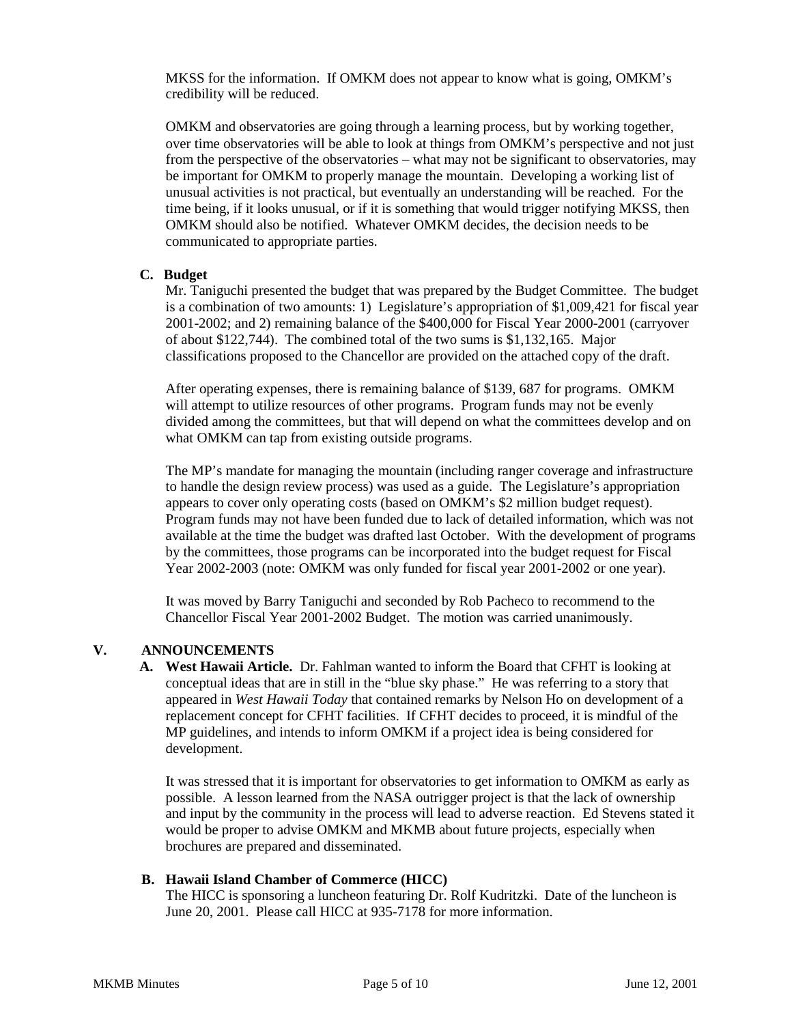MKSS for the information. If OMKM does not appear to know what is going, OMKM's credibility will be reduced.

OMKM and observatories are going through a learning process, but by working together, over time observatories will be able to look at things from OMKM's perspective and not just from the perspective of the observatories – what may not be significant to observatories, may be important for OMKM to properly manage the mountain. Developing a working list of unusual activities is not practical, but eventually an understanding will be reached. For the time being, if it looks unusual, or if it is something that would trigger notifying MKSS, then OMKM should also be notified. Whatever OMKM decides, the decision needs to be communicated to appropriate parties.

## **C. Budget**

Mr. Taniguchi presented the budget that was prepared by the Budget Committee. The budget is a combination of two amounts: 1) Legislature's appropriation of \$1,009,421 for fiscal year 2001-2002; and 2) remaining balance of the \$400,000 for Fiscal Year 2000-2001 (carryover of about \$122,744). The combined total of the two sums is \$1,132,165. Major classifications proposed to the Chancellor are provided on the attached copy of the draft.

After operating expenses, there is remaining balance of \$139, 687 for programs. OMKM will attempt to utilize resources of other programs. Program funds may not be evenly divided among the committees, but that will depend on what the committees develop and on what OMKM can tap from existing outside programs.

The MP's mandate for managing the mountain (including ranger coverage and infrastructure to handle the design review process) was used as a guide. The Legislature's appropriation appears to cover only operating costs (based on OMKM's \$2 million budget request). Program funds may not have been funded due to lack of detailed information, which was not available at the time the budget was drafted last October. With the development of programs by the committees, those programs can be incorporated into the budget request for Fiscal Year 2002-2003 (note: OMKM was only funded for fiscal year 2001-2002 or one year).

It was moved by Barry Taniguchi and seconded by Rob Pacheco to recommend to the Chancellor Fiscal Year 2001-2002 Budget. The motion was carried unanimously.

# **V. ANNOUNCEMENTS**

**A. West Hawaii Article.** Dr. Fahlman wanted to inform the Board that CFHT is looking at conceptual ideas that are in still in the "blue sky phase." He was referring to a story that appeared in *West Hawaii Today* that contained remarks by Nelson Ho on development of a replacement concept for CFHT facilities. If CFHT decides to proceed, it is mindful of the MP guidelines, and intends to inform OMKM if a project idea is being considered for development.

It was stressed that it is important for observatories to get information to OMKM as early as possible. A lesson learned from the NASA outrigger project is that the lack of ownership and input by the community in the process will lead to adverse reaction. Ed Stevens stated it would be proper to advise OMKM and MKMB about future projects, especially when brochures are prepared and disseminated.

#### **B. Hawaii Island Chamber of Commerce (HICC)**

The HICC is sponsoring a luncheon featuring Dr. Rolf Kudritzki. Date of the luncheon is June 20, 2001. Please call HICC at 935-7178 for more information.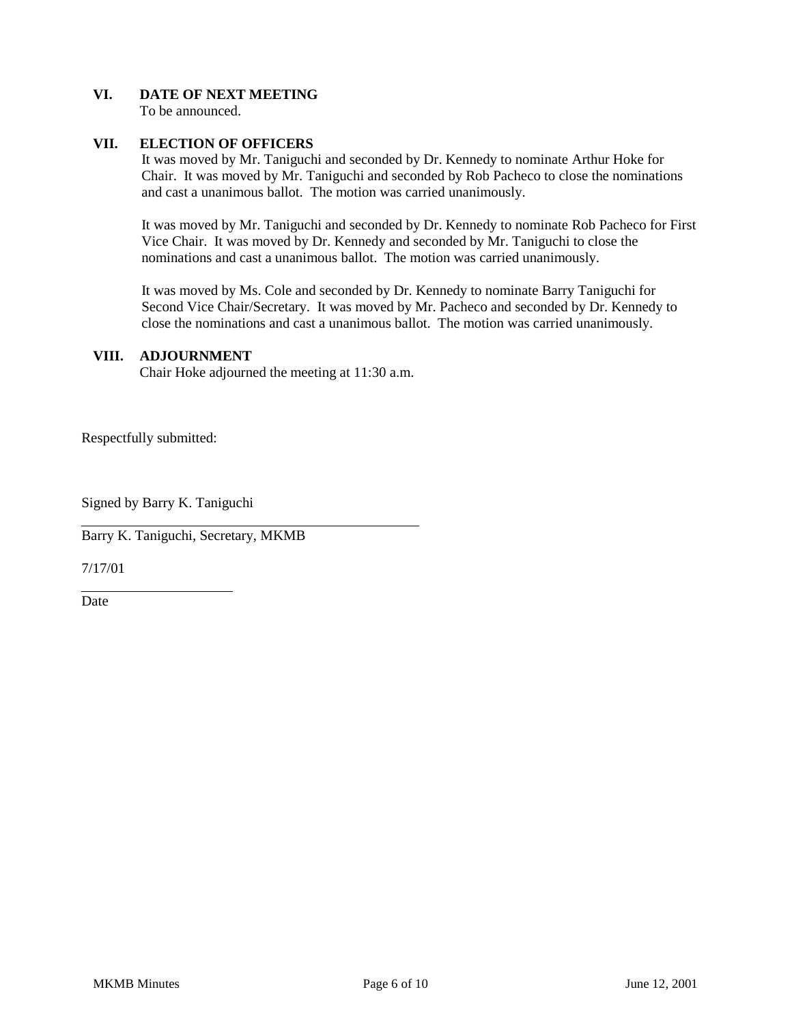# **VI. DATE OF NEXT MEETING**

To be announced.

# **VII. ELECTION OF OFFICERS**

It was moved by Mr. Taniguchi and seconded by Dr. Kennedy to nominate Arthur Hoke for Chair. It was moved by Mr. Taniguchi and seconded by Rob Pacheco to close the nominations and cast a unanimous ballot. The motion was carried unanimously.

It was moved by Mr. Taniguchi and seconded by Dr. Kennedy to nominate Rob Pacheco for First Vice Chair. It was moved by Dr. Kennedy and seconded by Mr. Taniguchi to close the nominations and cast a unanimous ballot. The motion was carried unanimously.

It was moved by Ms. Cole and seconded by Dr. Kennedy to nominate Barry Taniguchi for Second Vice Chair/Secretary. It was moved by Mr. Pacheco and seconded by Dr. Kennedy to close the nominations and cast a unanimous ballot. The motion was carried unanimously.

## **VIII. ADJOURNMENT**

Chair Hoke adjourned the meeting at 11:30 a.m.

Respectfully submitted:

Signed by Barry K. Taniguchi

Barry K. Taniguchi, Secretary, MKMB

7/17/01

**Date**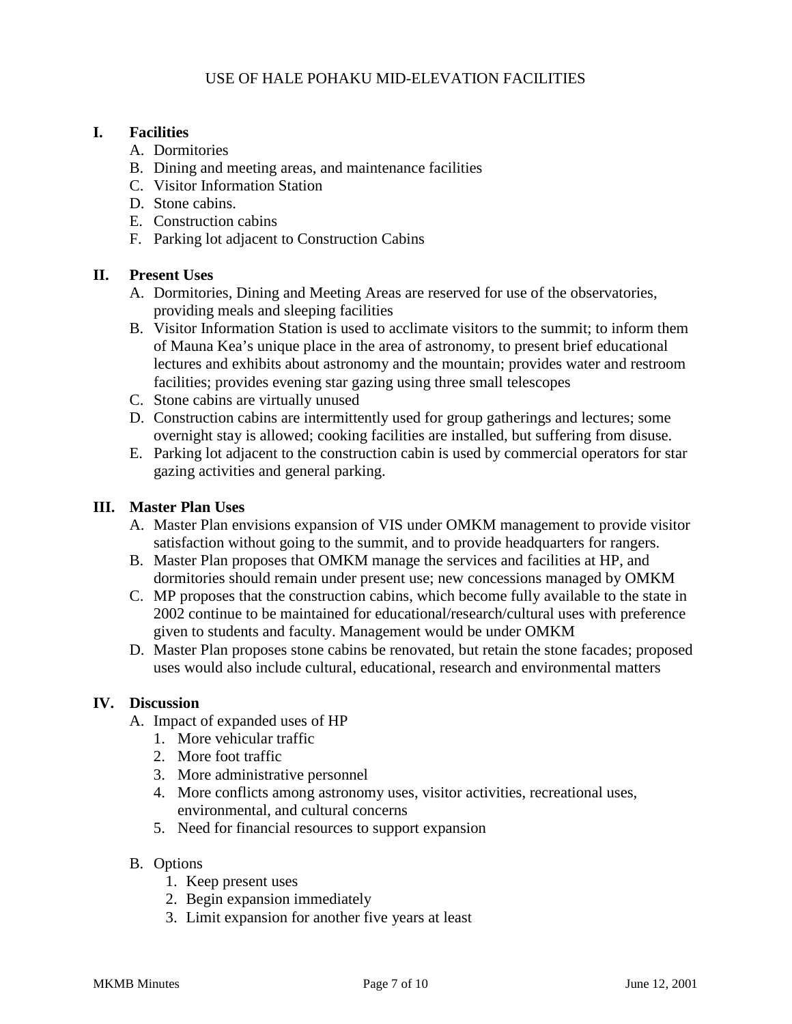# **I. Facilities**

- A. Dormitories
- B. Dining and meeting areas, and maintenance facilities
- C. Visitor Information Station
- D. Stone cabins.
- E. Construction cabins
- F. Parking lot adjacent to Construction Cabins

# **II. Present Uses**

- A. Dormitories, Dining and Meeting Areas are reserved for use of the observatories, providing meals and sleeping facilities
- B. Visitor Information Station is used to acclimate visitors to the summit; to inform them of Mauna Kea's unique place in the area of astronomy, to present brief educational lectures and exhibits about astronomy and the mountain; provides water and restroom facilities; provides evening star gazing using three small telescopes
- C. Stone cabins are virtually unused
- D. Construction cabins are intermittently used for group gatherings and lectures; some overnight stay is allowed; cooking facilities are installed, but suffering from disuse.
- E. Parking lot adjacent to the construction cabin is used by commercial operators for star gazing activities and general parking.

# **III. Master Plan Uses**

- A. Master Plan envisions expansion of VIS under OMKM management to provide visitor satisfaction without going to the summit, and to provide headquarters for rangers.
- B. Master Plan proposes that OMKM manage the services and facilities at HP, and dormitories should remain under present use; new concessions managed by OMKM
- C. MP proposes that the construction cabins, which become fully available to the state in 2002 continue to be maintained for educational/research/cultural uses with preference given to students and faculty. Management would be under OMKM
- D. Master Plan proposes stone cabins be renovated, but retain the stone facades; proposed uses would also include cultural, educational, research and environmental matters

# **IV. Discussion**

- A. Impact of expanded uses of HP
	- 1. More vehicular traffic
	- 2. More foot traffic
	- 3. More administrative personnel
	- 4. More conflicts among astronomy uses, visitor activities, recreational uses, environmental, and cultural concerns
	- 5. Need for financial resources to support expansion
- B. Options
	- 1. Keep present uses
	- 2. Begin expansion immediately
	- 3. Limit expansion for another five years at least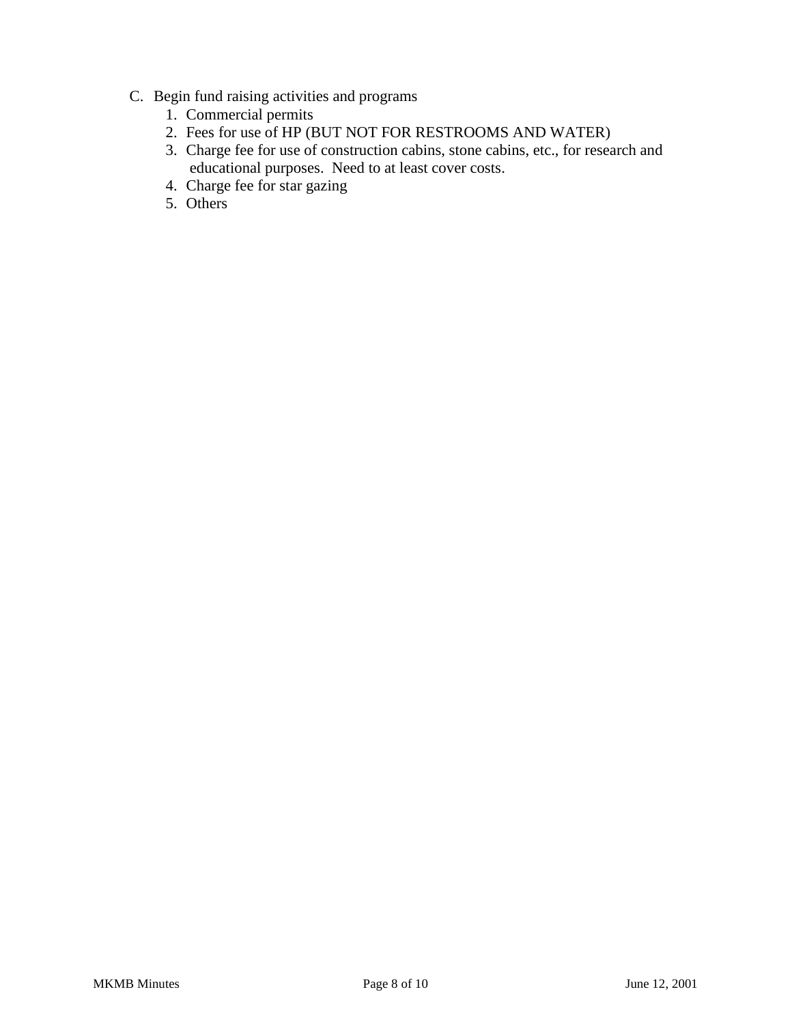- C. Begin fund raising activities and programs
	- 1. Commercial permits
	- 2. Fees for use of HP (BUT NOT FOR RESTROOMS AND WATER)
	- 3. Charge fee for use of construction cabins, stone cabins, etc., for research and educational purposes. Need to at least cover costs.
	- 4. Charge fee for star gazing
	- 5. Others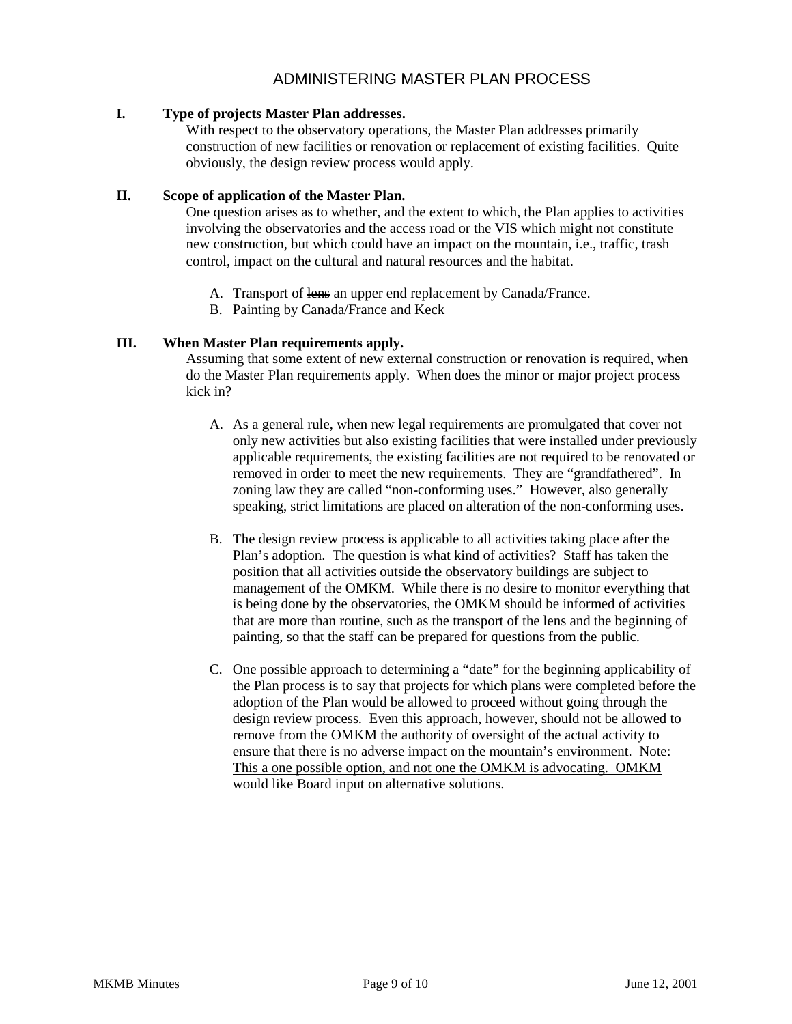# ADMINISTERING MASTER PLAN PROCESS

# **I. Type of projects Master Plan addresses.**

With respect to the observatory operations, the Master Plan addresses primarily construction of new facilities or renovation or replacement of existing facilities. Quite obviously, the design review process would apply.

## **II. Scope of application of the Master Plan.**

One question arises as to whether, and the extent to which, the Plan applies to activities involving the observatories and the access road or the VIS which might not constitute new construction, but which could have an impact on the mountain, i.e., traffic, trash control, impact on the cultural and natural resources and the habitat.

- A. Transport of lens an upper end replacement by Canada/France.
- B. Painting by Canada/France and Keck

## **III. When Master Plan requirements apply.**

Assuming that some extent of new external construction or renovation is required, when do the Master Plan requirements apply. When does the minor or major project process kick in?

- A. As a general rule, when new legal requirements are promulgated that cover not only new activities but also existing facilities that were installed under previously applicable requirements, the existing facilities are not required to be renovated or removed in order to meet the new requirements. They are "grandfathered". In zoning law they are called "non-conforming uses." However, also generally speaking, strict limitations are placed on alteration of the non-conforming uses.
- B. The design review process is applicable to all activities taking place after the Plan's adoption. The question is what kind of activities? Staff has taken the position that all activities outside the observatory buildings are subject to management of the OMKM. While there is no desire to monitor everything that is being done by the observatories, the OMKM should be informed of activities that are more than routine, such as the transport of the lens and the beginning of painting, so that the staff can be prepared for questions from the public.
- C. One possible approach to determining a "date" for the beginning applicability of the Plan process is to say that projects for which plans were completed before the adoption of the Plan would be allowed to proceed without going through the design review process. Even this approach, however, should not be allowed to remove from the OMKM the authority of oversight of the actual activity to ensure that there is no adverse impact on the mountain's environment. Note: This a one possible option, and not one the OMKM is advocating. OMKM would like Board input on alternative solutions.